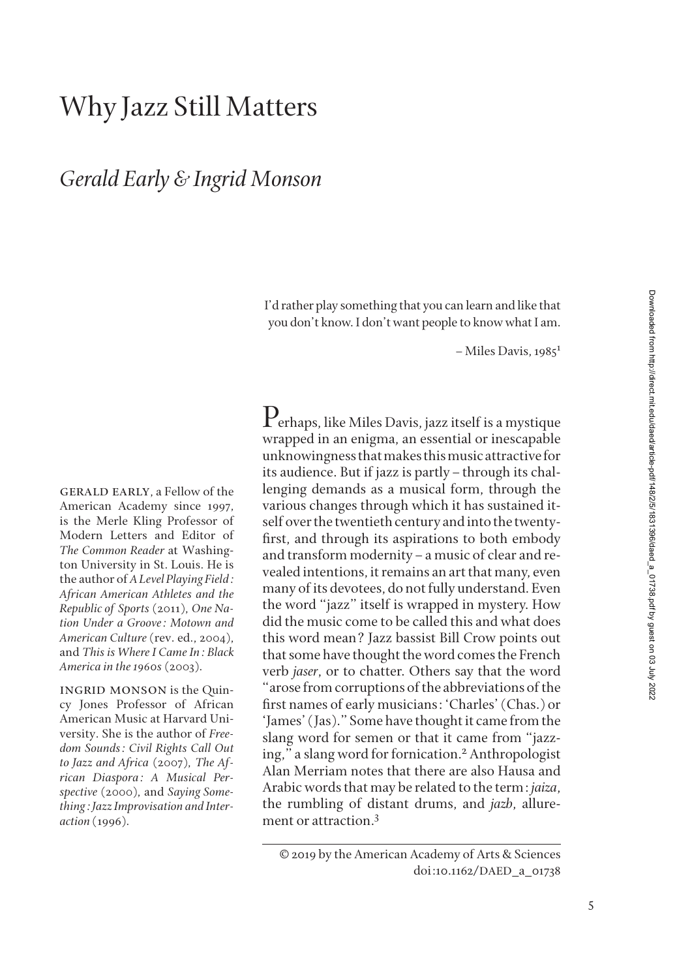## Why Jazz Still Matters

## *Gerald Early & Ingrid Monson*

I'd rather play something that you can learn and like that you don't know. I don't want people to know what I am.

–Miles Davis, 19851

gerald early, a Fellow of the American Academy since 1997, is the Merle Kling Professor of Modern Letters and Editor of *The Common Reader* at Washington University in St. Louis. He is the author of *A Level Playing Field: African American Athletes and the Republic of Sports* (2011), *One Nation Under a Groove: Motown and American Culture* (rev. ed., 2004), and *This is Where I Came In: Black America in the 1960s* (2003).

INGRID MONSON is the Quincy Jones Professor of African American Music at Harvard University. She is the author of *Freedom Sounds: Civil Rights Call Out to Jazz and Africa* (2007), *The African Diaspora: A Musical Perspective* (2000), and *Saying Something: Jazz Improvisation and Interaction* (1996).

 $\mathrm{P}_{\mathrm{erhaps,\,like\,Miles\,Davis,\,jazz\,itself\,is\,a\,mystique}}$ wrapped in an enigma, an essential or inescapable unknowingness that makes this music attractive for its audience. But if jazz is partly–through its challenging demands as a musical form, through the various changes through which it has sustained itself over the twentieth century and into the twentyfirst, and through its aspirations to both embody and transform modernity–a music of clear and revealed intentions, it remains an art that many, even many of its devotees, do not fully understand. Even the word "jazz" itself is wrapped in mystery. How did the music come to be called this and what does this word mean? Jazz bassist Bill Crow points out that some have thought the word comes the French verb *jaser*, or to chatter. Others say that the word "arose from corruptions of the abbreviations of the first names of early musicians: 'Charles' (Chas.) or 'James' (Jas)." Some have thought it came from the slang word for semen or that it came from "jazzing," a slang word for fornication.2 Anthropologist Alan Merriam notes that there are also Hausa and Arabic words that may be related to the term: *jaiza*, the rumbling of distant drums, and *jazb*, allurement or attraction.3

© 2019 by the American Academy of Arts & Sciences doi:10.1162/DAED\_a\_01738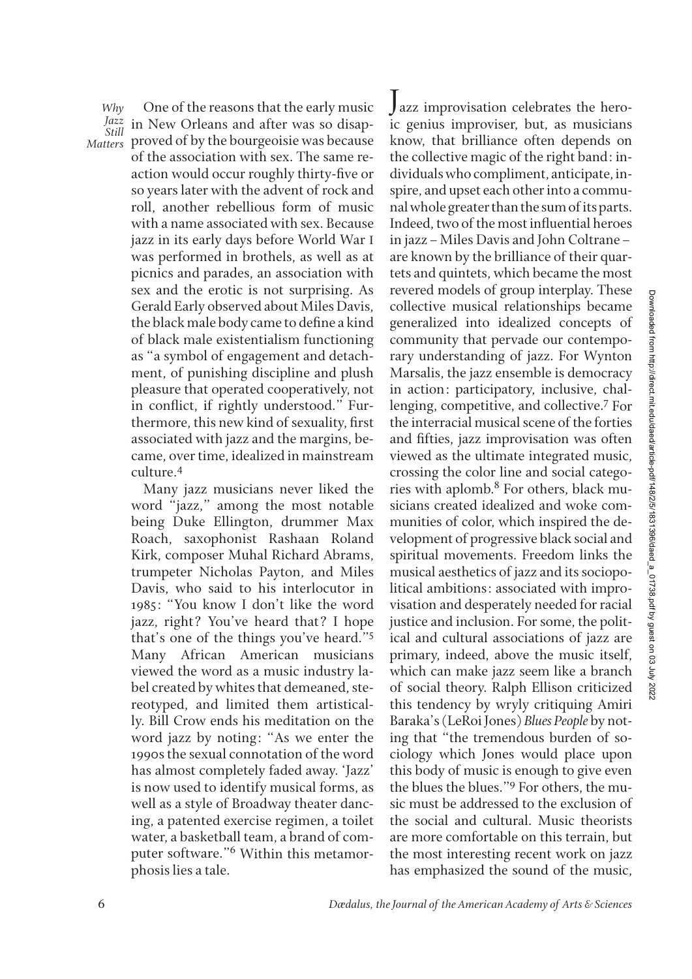*Why Still* 

*Jazz* in New Orleans and after was so disap-*Matters* proved of by the bourgeoisie was because of the association with sex. The same reaction would occur roughly thirty-five or so years later with the advent of rock and roll, another rebellious form of music with a name associated with sex. Because jazz in its early days before World War I was performed in brothels, as well as at picnics and parades, an association with sex and the erotic is not surprising. As Gerald Early observed about Miles Davis, the black male body came to define a kind of black male existentialism functioning as "a symbol of engagement and detachment, of punishing discipline and plush pleasure that operated cooperatively, not in conflict, if rightly understood." Furthermore, this new kind of sexuality, first associated with jazz and the margins, became, over time, idealized in mainstream culture.4

One of the reasons that the early music

Many jazz musicians never liked the word "jazz," among the most notable being Duke Ellington, drummer Max Roach, saxophonist Rashaan Roland Kirk, composer Muhal Richard Abrams, trumpeter Nicholas Payton, and Miles Davis, who said to his interlocutor in 1985: "You know I don't like the word jazz, right? You've heard that? I hope that's one of the things you've heard."<sup>5</sup> Many African American musicians viewed the word as a music industry label created by whites that demeaned, stereotyped, and limited them artistically. Bill Crow ends his meditation on the word jazz by noting: "As we enter the 1990s the sexual connotation of the word has almost completely faded away. 'Jazz' is now used to identify musical forms, as well as a style of Broadway theater dancing, a patented exercise regimen, a toilet water, a basketball team, a brand of computer software."<sup>6</sup> Within this metamorphosis lies a tale.

Jazz improvisation celebrates the heroic genius improviser, but, as musicians know, that brilliance often depends on the collective magic of the right band: individuals who compliment, anticipate, inspire, and upset each other into a communal whole greater than the sum of its parts. Indeed, two of the most influential heroes in jazz–Miles Davis and John Coltrane– are known by the brilliance of their quartets and quintets, which became the most revered models of group interplay. These collective musical relationships became generalized into idealized concepts of community that pervade our contemporary understanding of jazz. For Wynton Marsalis, the jazz ensemble is democracy in action: participatory, inclusive, challenging, competitive, and collective.7 For the interracial musical scene of the forties and fifties, jazz improvisation was often viewed as the ultimate integrated music, crossing the color line and social categories with aplomb.8 For others, black musicians created idealized and woke communities of color, which inspired the development of progressive black social and spiritual movements. Freedom links the musical aesthetics of jazz and its sociopolitical ambitions: associated with improvisation and desperately needed for racial justice and inclusion. For some, the political and cultural associations of jazz are primary, indeed, above the music itself, which can make jazz seem like a branch of social theory. Ralph Ellison criticized this tendency by wryly critiquing Amiri Baraka's (LeRoi Jones) *Blues People* by noting that "the tremendous burden of sociology which Jones would place upon this body of music is enough to give even the blues the blues."9 For others, the music must be addressed to the exclusion of the social and cultural. Music theorists are more comfortable on this terrain, but the most interesting recent work on jazz has emphasized the sound of the music,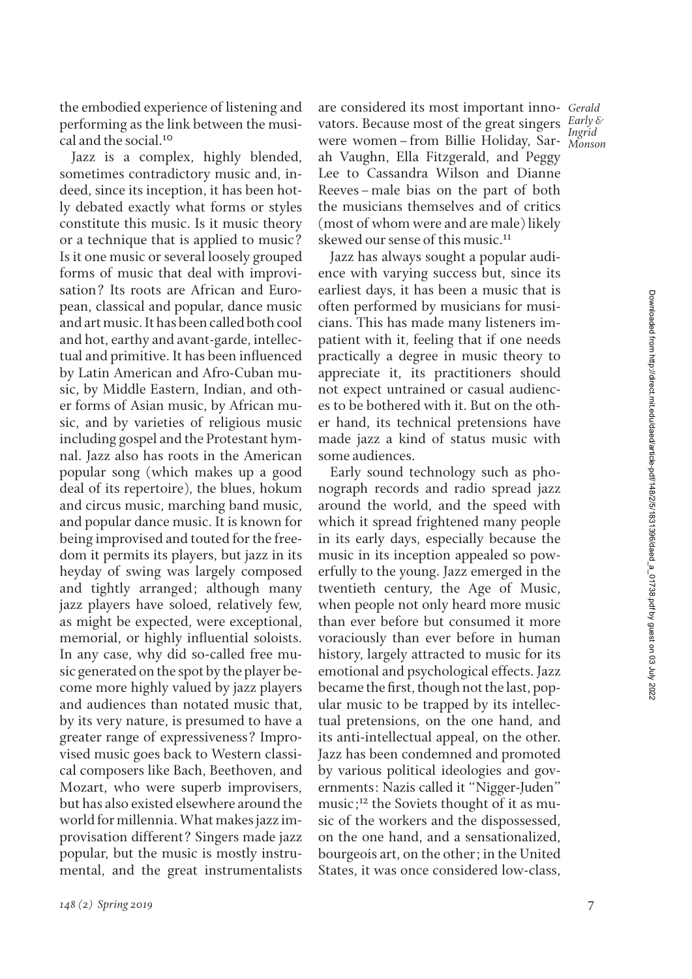the embodied experience of listening and performing as the link between the musical and the social.10

Jazz is a complex, highly blended, sometimes contradictory music and, indeed, since its inception, it has been hotly debated exactly what forms or styles constitute this music. Is it music theory or a technique that is applied to music? Is it one music or several loosely grouped forms of music that deal with improvisation? Its roots are African and European, classical and popular, dance music and art music. It has been called both cool and hot, earthy and avant-garde, intellectual and primitive. It has been influenced by Latin American and Afro-Cuban music, by Middle Eastern, Indian, and other forms of Asian music, by African music, and by varieties of religious music including gospel and the Protestant hymnal. Jazz also has roots in the American popular song (which makes up a good deal of its repertoire), the blues, hokum and circus music, marching band music, and popular dance music. It is known for being improvised and touted for the freedom it permits its players, but jazz in its heyday of swing was largely composed and tightly arranged; although many jazz players have soloed, relatively few, as might be expected, were exceptional, memorial, or highly influential soloists. In any case, why did so-called free music generated on the spot by the player become more highly valued by jazz players and audiences than notated music that, by its very nature, is presumed to have a greater range of expressiveness? Improvised music goes back to Western classical composers like Bach, Beethoven, and Mozart, who were superb improvisers, but has also existed elsewhere around the world for millennia. What makes jazz improvisation different? Singers made jazz popular, but the music is mostly instrumental, and the great instrumentalists

are considered its most important inno- Gerald vators. Because most of the great singers *Early & Monson* were women–from Billie Holiday, Sarah Vaughn, Ella Fitzgerald, and Peggy Lee to Cassandra Wilson and Dianne Reeves–male bias on the part of both the musicians themselves and of critics (most of whom were and are male) likely skewed our sense of this music.<sup>11</sup>

Jazz has always sought a popular audience with varying success but, since its earliest days, it has been a music that is often performed by musicians for musicians. This has made many listeners impatient with it, feeling that if one needs practically a degree in music theory to appreciate it, its practitioners should not expect untrained or casual audiences to be bothered with it. But on the other hand, its technical pretensions have made jazz a kind of status music with some audiences.

Early sound technology such as phonograph records and radio spread jazz around the world, and the speed with which it spread frightened many people in its early days, especially because the music in its inception appealed so powerfully to the young. Jazz emerged in the twentieth century, the Age of Music, when people not only heard more music than ever before but consumed it more voraciously than ever before in human history, largely attracted to music for its emotional and psychological effects. Jazz became the first, though not the last, popular music to be trapped by its intellectual pretensions, on the one hand, and its anti-intellectual appeal, on the other. Jazz has been condemned and promoted by various political ideologies and governments: Nazis called it "Nigger-Juden" music;<sup>12</sup> the Soviets thought of it as music of the workers and the dispossessed, on the one hand, and a sensationalized, bourgeois art, on the other; in the United States, it was once considered low-class,

*Ingrid*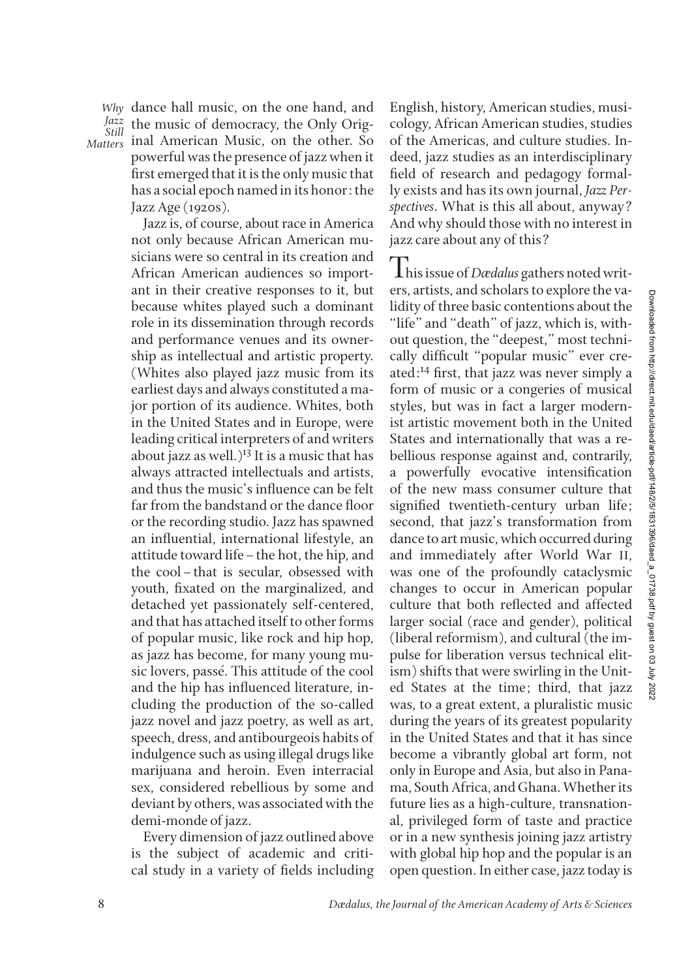*Why*  dance hall music, on the one hand, and *Jazz* the music of democracy, the Only Orig-*Still Matters* inal American Music, on the other. So powerful was the presence of jazz when it first emerged that it is the only music that has a social epoch named in its honor: the Jazz Age (1920s).

> Jazz is, of course, about race in America not only because African American musicians were so central in its creation and African American audiences so important in their creative responses to it, but because whites played such a dominant role in its dissemination through records and performance venues and its ownership as intellectual and artistic property. (Whites also played jazz music from its earliest days and always constituted a major portion of its audience. Whites, both in the United States and in Europe, were leading critical interpreters of and writers about jazz as well.)<sup>13</sup> It is a music that has always attracted intellectuals and artists, and thus the music's influence can be felt far from the bandstand or the dance floor or the recording studio. Jazz has spawned an influential, international lifestyle, an attitude toward life–the hot, the hip, and the cool–that is secular, obsessed with youth, fixated on the marginalized, and detached yet passionately self-centered, and that has attached itself to other forms of popular music, like rock and hip hop, as jazz has become, for many young music lovers, passé. This attitude of the cool and the hip has influenced literature, including the production of the so-called jazz novel and jazz poetry, as well as art, speech, dress, and antibourgeois habits of indulgence such as using illegal drugs like marijuana and heroin. Even interracial sex, considered rebellious by some and deviant by others, was associated with the demi-monde of jazz.

> Every dimension of jazz outlined above is the subject of academic and critical study in a variety of fields including

English, history, American studies, musicology, African American studies, studies of the Americas, and culture studies. Indeed, jazz studies as an interdisciplinary field of research and pedagogy formally exists and has its own journal, *Jazz Perspectives*. What is this all about, anyway? And why should those with no interest in jazz care about any of this?

This issue of *Dædalus* gathers noted writers, artists, and scholars to explore the validity of three basic contentions about the "life" and "death" of jazz, which is, without question, the "deepest," most technically difficult "popular music" ever created:14 first, that jazz was never simply a form of music or a congeries of musical styles, but was in fact a larger modernist artistic movement both in the United States and internationally that was a rebellious response against and, contrarily, a powerfully evocative intensification of the new mass consumer culture that signified twentieth-century urban life; second, that jazz's transformation from dance to art music, which occurred during and immediately after World War II, was one of the profoundly cataclysmic changes to occur in American popular culture that both reflected and affected larger social (race and gender), political (liberal reformism), and cultural (the impulse for liberation versus technical elitism) shifts that were swirling in the United States at the time; third, that jazz was, to a great extent, a pluralistic music during the years of its greatest popularity in the United States and that it has since become a vibrantly global art form, not only in Europe and Asia, but also in Panama, South Africa, and Ghana. Whether its future lies as a high-culture, transnational, privileged form of taste and practice or in a new synthesis joining jazz artistry with global hip hop and the popular is an open question. In either case, jazz today is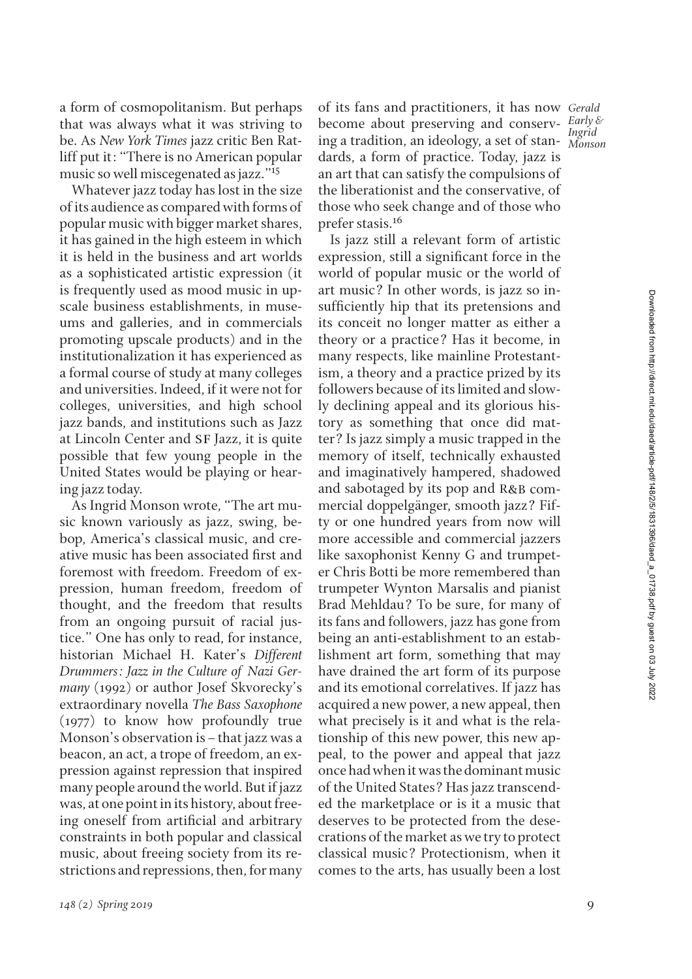a form of cosmopolitanism. But perhaps that was always what it was striving to be. As *New York Times* jazz critic Ben Ratliff put it: "There is no American popular music so well miscegenated as jazz."15

Whatever jazz today has lost in the size of its audience as compared with forms of popular music with bigger market shares, it has gained in the high esteem in which it is held in the business and art worlds as a sophisticated artistic expression (it is frequently used as mood music in upscale business establishments, in museums and galleries, and in commercials promoting upscale products) and in the institutionalization it has experienced as a formal course of study at many colleges and universities. Indeed, if it were not for colleges, universities, and high school jazz bands, and institutions such as Jazz at Lincoln Center and SF Jazz, it is quite possible that few young people in the United States would be playing or hearing jazz today.

As Ingrid Monson wrote, "The art music known variously as jazz, swing, bebop, America's classical music, and creative music has been associated first and foremost with freedom. Freedom of expression, human freedom, freedom of thought, and the freedom that results from an ongoing pursuit of racial justice." One has only to read, for instance, historian Michael H. Kater's *Different Drummers: Jazz in the Culture of Nazi Germany* (1992) or author Josef Skvorecky's extraordinary novella *The Bass Saxophone* (1977) to know how profoundly true Monson's observation is–that jazz was a beacon, an act, a trope of freedom, an expression against repression that inspired many people around the world. But if jazz was, at one point in its history, about freeing oneself from artificial and arbitrary constraints in both popular and classical music, about freeing society from its restrictions and repressions, then, for many

become about preserving and conserv- *Early & Monson* ing a tradition, an ideology, a set of standards, a form of practice. Today, jazz is an art that can satisfy the compulsions of the liberationist and the conservative, of those who seek change and of those who prefer stasis.<sup>16</sup>

Is jazz still a relevant form of artistic expression, still a significant force in the world of popular music or the world of art music? In other words, is jazz so insufficiently hip that its pretensions and its conceit no longer matter as either a theory or a practice? Has it become, in many respects, like mainline Protestantism, a theory and a practice prized by its followers because of its limited and slowly declining appeal and its glorious history as something that once did matter? Is jazz simply a music trapped in the memory of itself, technically exhausted and imaginatively hampered, shadowed and sabotaged by its pop and R&B commercial doppelgänger, smooth jazz? Fifty or one hundred years from now will more accessible and commercial jazzers like saxophonist Kenny G and trumpeter Chris Botti be more remembered than trumpeter Wynton Marsalis and pianist Brad Mehldau? To be sure, for many of its fans and followers, jazz has gone from being an anti-establishment to an establishment art form, something that may have drained the art form of its purpose and its emotional correlatives. If jazz has acquired a new power, a new appeal, then what precisely is it and what is the relationship of this new power, this new appeal, to the power and appeal that jazz once had when it was the dominant music of the United States? Has jazz transcended the marketplace or is it a music that deserves to be protected from the desecrations of the market as we try to protect classical music? Protectionism, when it comes to the arts, has usually been a lost

*148 (2) Spring 2019* 9

of its fans and practitioners, it has now Gerald *Ingrid*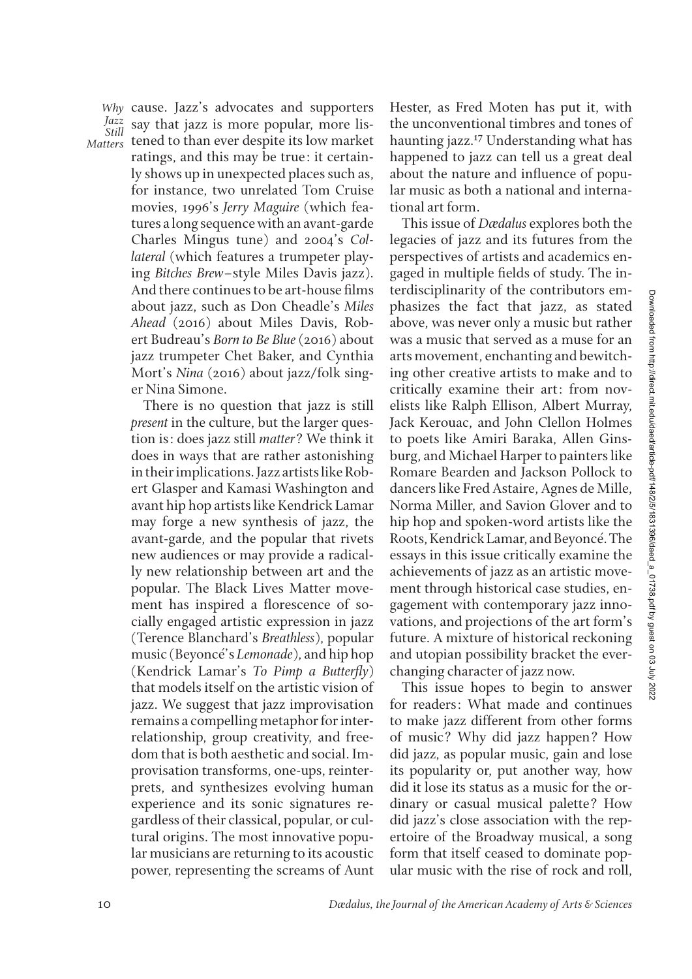*Why*  cause. Jazz's advocates and supporters *Still* 

 $J_{\alpha z z}^{l \alpha z z}$  say that jazz is more popular, more lis-*Matters* tened to than ever despite its low market ratings, and this may be true: it certainly shows up in unexpected places such as, for instance, two unrelated Tom Cruise movies, 1996's *Jerry Maguire* (which features a long sequence with an avant-garde Charles Mingus tune) and 2004's *Collateral* (which features a trumpeter playing *Bitches Brew*–style Miles Davis jazz). And there continues to be art-house films about jazz, such as Don Cheadle's *Miles Ahead* (2016) about Miles Davis, Robert Budreau's *Born to Be Blue* (2016) about jazz trumpeter Chet Baker, and Cynthia Mort's *Nina* (2016) about jazz/folk singer Nina Simone.

> There is no question that jazz is still *present* in the culture, but the larger question is: does jazz still *matter*? We think it does in ways that are rather astonishing in their implications. Jazz artists like Robert Glasper and Kamasi Washington and avant hip hop artists like Kendrick Lamar may forge a new synthesis of jazz, the avant-garde, and the popular that rivets new audiences or may provide a radically new relationship between art and the popular. The Black Lives Matter movement has inspired a florescence of socially engaged artistic expression in jazz (Terence Blanchard's *Breathless*), popular music (Beyoncé's *Lemonade*), and hip hop (Kendrick Lamar's *To Pimp a Butterfly*) that models itself on the artistic vision of jazz. We suggest that jazz improvisation remains a compelling metaphor for interrelationship, group creativity, and freedom that is both aesthetic and social. Improvisation transforms, one-ups, reinterprets, and synthesizes evolving human experience and its sonic signatures regardless of their classical, popular, or cultural origins. The most innovative popular musicians are returning to its acoustic power, representing the screams of Aunt

Hester, as Fred Moten has put it, with the unconventional timbres and tones of haunting jazz.17 Understanding what has happened to jazz can tell us a great deal about the nature and influence of popular music as both a national and international art form.

This issue of *Dædalus* explores both the legacies of jazz and its futures from the perspectives of artists and academics engaged in multiple fields of study. The interdisciplinarity of the contributors emphasizes the fact that jazz, as stated above, was never only a music but rather was a music that served as a muse for an arts movement, enchanting and bewitching other creative artists to make and to critically examine their art: from novelists like Ralph Ellison, Albert Murray, Jack Kerouac, and John Clellon Holmes to poets like Amiri Baraka, Allen Ginsburg, and Michael Harper to painters like Romare Bearden and Jackson Pollock to dancers like Fred Astaire, Agnes de Mille, Norma Miller, and Savion Glover and to hip hop and spoken-word artists like the Roots, Kendrick Lamar, and Beyoncé. The essays in this issue critically examine the achievements of jazz as an artistic movement through historical case studies, engagement with contemporary jazz innovations, and projections of the art form's future. A mixture of historical reckoning and utopian possibility bracket the everchanging character of jazz now.

This issue hopes to begin to answer for readers: What made and continues to make jazz different from other forms of music? Why did jazz happen? How did jazz, as popular music, gain and lose its popularity or, put another way, how did it lose its status as a music for the ordinary or casual musical palette? How did jazz's close association with the repertoire of the Broadway musical, a song form that itself ceased to dominate popular music with the rise of rock and roll,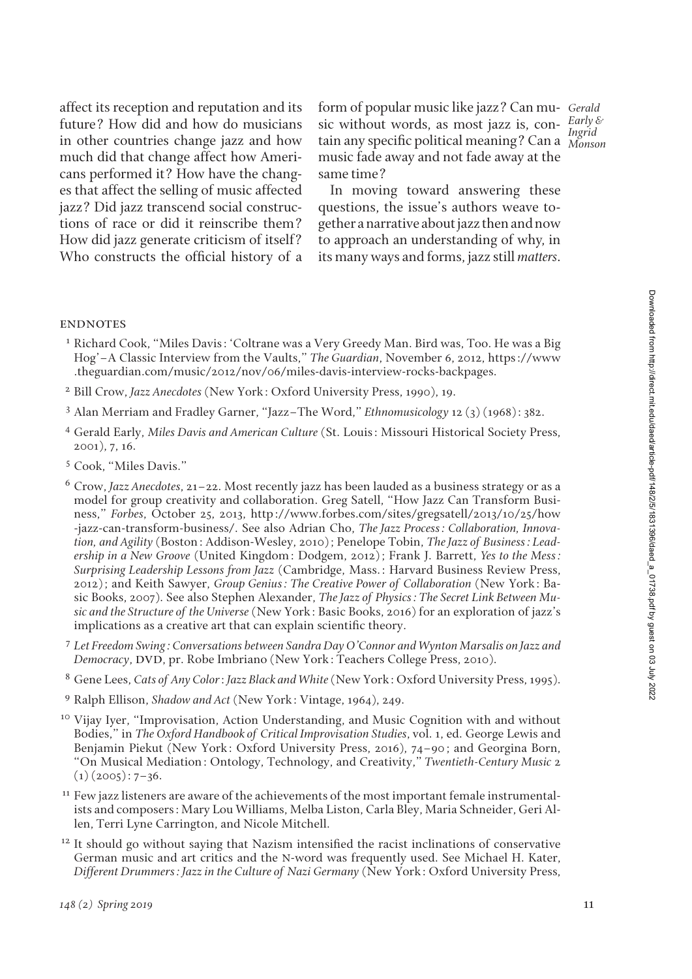affect its reception and reputation and its future? How did and how do musicians in other countries change jazz and how much did that change affect how Americans performed it? How have the changes that affect the selling of music affected jazz? Did jazz transcend social constructions of race or did it reinscribe them? How did jazz generate criticism of itself? Who constructs the official history of a

form of popular music like jazz? Can mu- Gerald *Early &*  sic without words, as most jazz is, con-*Monson* tain any specific political meaning? Can a music fade away and not fade away at the same time?

*Ingrid* 

In moving toward answering these questions, the issue's authors weave together a narrative about jazz then and now to approach an understanding of why, in its many ways and forms, jazz still *matters*.

## **ENDNOTES**

- <sup>1</sup> Richard Cook, "Miles Davis: 'Coltrane was a Very Greedy Man. Bird was, Too. He was a Big Hog'–A Classic Interview from the Vaults," *The Guardian*, November 6, 2012, [https://www](https://www.theguardian.com/music/2012/nov/06/miles-davis-interview-rocks-backpages) [.theguardian.com/music/2012/nov/06/miles-davis-interview-rocks-backpages](https://www.theguardian.com/music/2012/nov/06/miles-davis-interview-rocks-backpages).
- <sup>2</sup> Bill Crow, *Jazz Anecdotes* (New York: Oxford University Press, 1990), 19.
- <sup>3</sup> Alan Merriam and Fradley Garner, "Jazz–The Word," *Ethnomusicology* 12 (3) (1968): 382.
- <sup>4</sup> Gerald Early, *Miles Davis and American Culture* (St. Louis: Missouri Historical Society Press, 2001), 7, 16.
- <sup>5</sup> Cook, "Miles Davis."
- <sup>6</sup> Crow, *Jazz Anecdotes*, 21–22. Most recently jazz has been lauded as a business strategy or as a model for group creativity and collaboration. Greg Satell, "How Jazz Can Transform Business," *Forbes*, October 25, 2013, [http://www.forbes.com/sites/gregsatell/2013/10/25/how](http://www.forbes.com/sites/gregsatell/2013/10/25/how-jazz-can-transform-business/) [-jazz-can-transform-business/](http://www.forbes.com/sites/gregsatell/2013/10/25/how-jazz-can-transform-business/). See also Adrian Cho, *The Jazz Process: Collaboration, Innovation, and Agility* (Boston: Addison-Wesley, 2010); Penelope Tobin, *The Jazz of Business: Leadership in a New Groove* (United Kingdom: Dodgem, 2012); Frank J. Barrett, *Yes to the Mess: Surprising Leadership Lessons from Jazz* (Cambridge, Mass.: Harvard Business Review Press, 2012); and Keith Sawyer, *Group Genius: The Creative Power of Collaboration* (New York: Basic Books, 2007). See also Stephen Alexander, *The Jazz of Physics: The Secret Link Between Music and the Structure of the Universe* (New York: Basic Books, 2016) for an exploration of jazz's implications as a creative art that can explain scientific theory.
- <sup>7</sup> *Let Freedom Swing: Conversations between Sandra Day O'Connor and Wynton Marsalis on Jazz and*  Democracy, DVD, pr. Robe Imbriano (New York: Teachers College Press, 2010).
- <sup>8</sup> Gene Lees, *Cats of Any Color*: *Jazz Black and White* (New York: Oxford University Press, 1995).
- <sup>9</sup> Ralph Ellison, *Shadow and Act* (New York: Vintage, 1964), 249.
- <sup>10</sup> Vijay Iyer, "Improvisation, Action Understanding, and Music Cognition with and without Bodies," in *The Oxford Handbook of Critical Improvisation Studies*, vol. 1, ed. George Lewis and Benjamin Piekut (New York: Oxford University Press, 2016), 74–90; and Georgina Born, "On Musical Mediation: Ontology, Technology, and Creativity," *Twentieth-Century Music* 2  $(1)(2005): 7-36.$
- $11$  Few jazz listeners are aware of the achievements of the most important female instrumentalists and composers: Mary Lou Williams, Melba Liston, Carla Bley, Maria Schneider, Geri Allen, Terri Lyne Carrington, and Nicole Mitchell.
- <sup>12</sup> It should go without saying that Nazism intensified the racist inclinations of conservative German music and art critics and the N-word was frequently used. See Michael H. Kater, *Different Drummers: Jazz in the Culture of Nazi Germany* (New York: Oxford University Press,